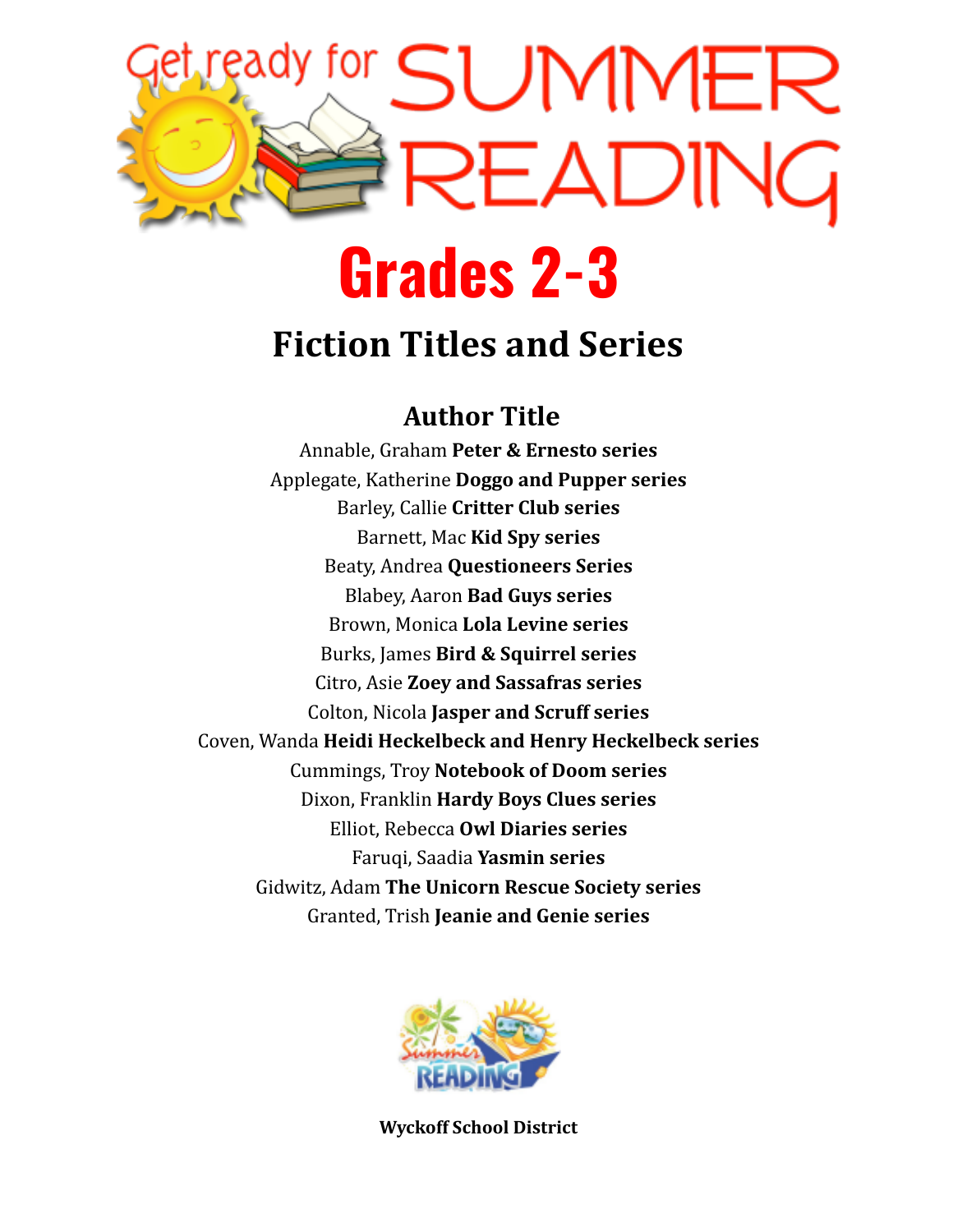

## **Grades 2-3**

## **Fiction Titles and Series**

### **Author Title**

Annable, Graham **Peter & Ernesto series** Applegate, Katherine **Doggo and Pupper series** Barley, Callie **Critter Club series** Barnett, Mac **Kid Spy series** Beaty, Andrea **Questioneers Series** Blabey, Aaron **Bad Guys series** Brown, Monica **Lola Levine series** Burks, James **Bird & Squirrel series** Citro, Asie **Zoey and Sassafras series** Colton, Nicola **Jasper and Scruff series** Coven, Wanda **Heidi Heckelbeck and Henry Heckelbeck series** Cummings, Troy **Notebook of Doom series** Dixon, Franklin **Hardy Boys Clues series** Elliot, Rebecca **Owl Diaries series** Faruqi, Saadia **Yasmin series** Gidwitz, Adam **The Unicorn Rescue Society series** Granted, Trish **Jeanie and Genie series**



**Wyckoff School District**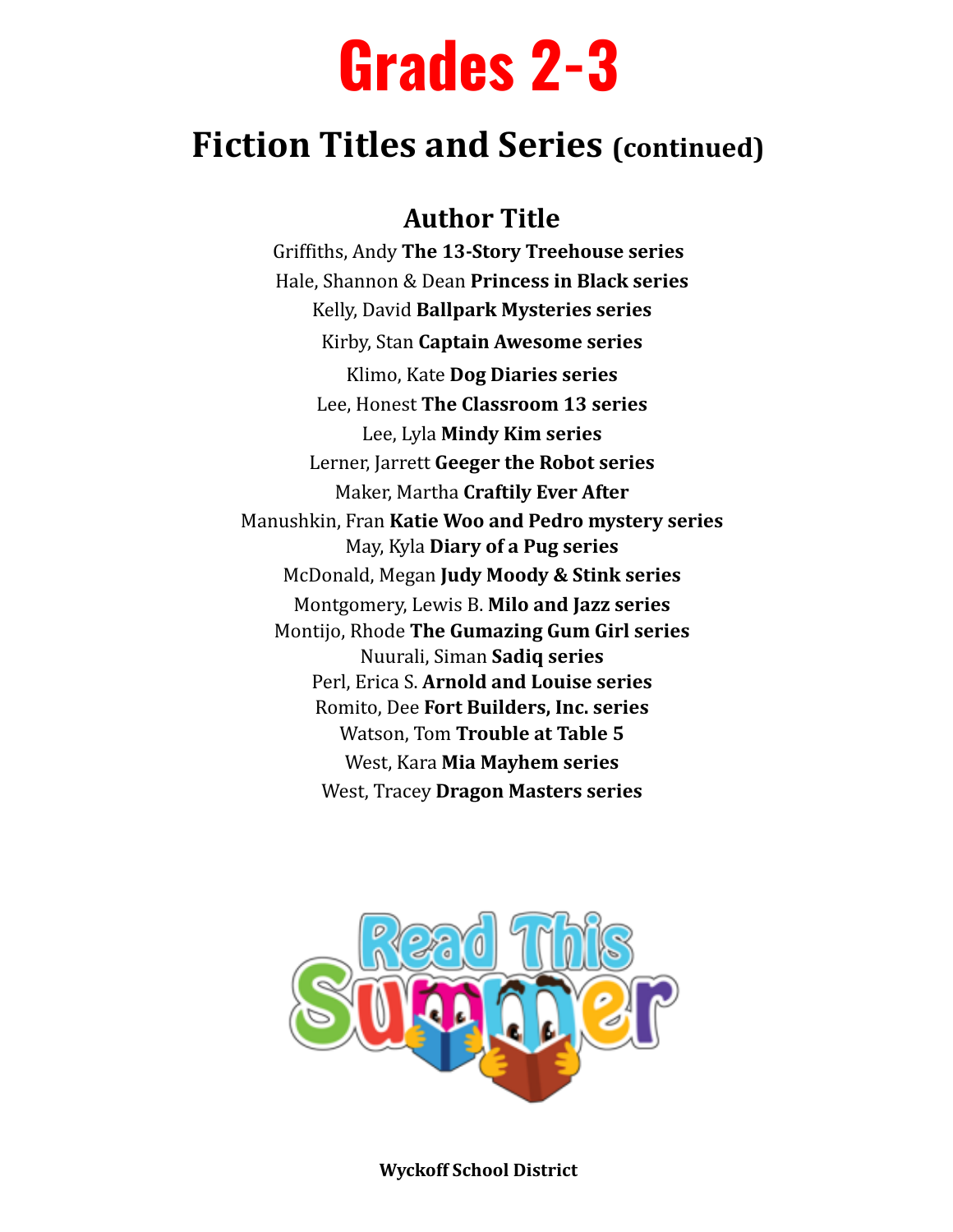# **Grades 2-3**

## **Fiction Titles and Series (continued)**

#### **Author Title**

Griffiths, Andy **The 13-Story Treehouse series** Hale, Shannon & Dean **Princess in Black series** Kelly, David **Ballpark Mysteries series** Kirby, Stan **Captain Awesome series** Klimo, Kate **Dog Diaries series** Lee, Honest **The Classroom 13 series** Lee, Lyla **Mindy Kim series** Lerner, Jarrett **Geeger the Robot series** Maker, Martha **Craftily Ever After** Manushkin, Fran **Katie Woo and Pedro mystery series** May, Kyla **Diary of a Pug series** McDonald, Megan **Judy Moody & Stink series** Montgomery, Lewis B. **Milo and Jazz series** Montijo, Rhode **The Gumazing Gum Girl series** Nuurali, Siman **Sadiq series** Perl, Erica S. **Arnold and Louise series** Romito, Dee **Fort Builders, Inc. series** Watson, Tom **Trouble at Table 5** West, Kara **Mia Mayhem series** West, Tracey **Dragon Masters series**



**Wyckoff School District**